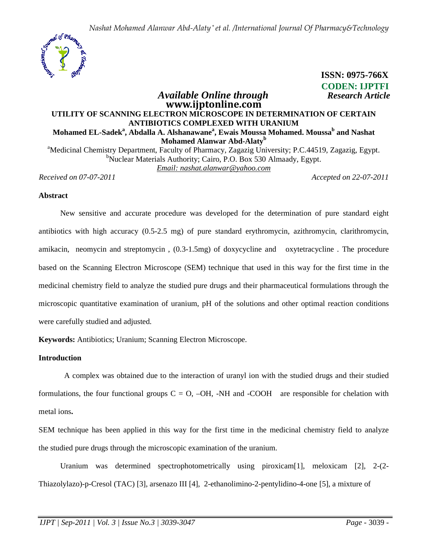

## **CODEN: IJPTFI** *Available Online through Research Article* **www.ijptonline.com UTILITY OF SCANNING ELECTRON MICROSCOPE IN DETERMINATION OF CERTAIN ANTIBIOTICS COMPLEXED WITH URANIUM Mohamed EL-Sadek<sup>a</sup> , Abdalla A. Alshanawane<sup>a</sup> , Ewais Moussa Mohamed. Moussa<sup>b</sup> and Nashat Mohamed Alanwar Abd-Alaty<sup>b</sup>** <sup>a</sup>Medicinal Chemistry Department, Faculty of Pharmacy, Zagazig University; P.C.44519, Zagazig, Egypt. <sup>b</sup>Nuclear Materials Authority; Cairo, P.O. Box 530 Almaady, Egypt.

*Email: nashat.alanwar@yahoo.com*

*Received on 07-07-2011 Accepted on 22-07-2011*

 **ISSN: 0975-766X**

### **Abstract**

 New sensitive and accurate procedure was developed for the determination of pure standard eight antibiotics with high accuracy (0.5-2.5 mg) of pure standard erythromycin, azithromycin, clarithromycin, amikacin, neomycin and streptomycin , (0.3-1.5mg) of doxycycline and oxytetracycline . The procedure based on the Scanning Electron Microscope (SEM) technique that used in this way for the first time in the medicinal chemistry field to analyze the studied pure drugs and their pharmaceutical formulations through the microscopic quantitative examination of uranium, pH of the solutions and other optimal reaction conditions were carefully studied and adjusted.

**Keywords:** Antibiotics; Uranium; Scanning Electron Microscope.

# **Introduction**

 A complex was obtained due to the interaction of uranyl ion with the studied drugs and their studied formulations, the four functional groups  $C = O$ ,  $-OH$ ,  $-NH$  and  $-COOH$  are responsible for chelation with metal ions**.** 

SEM technique has been applied in this way for the first time in the medicinal chemistry field to analyze the studied pure drugs through the microscopic examination of the uranium.

Uranium was determined spectrophotometrically using piroxicam [1], meloxicam [2], 2-(2-Thiazolylazo)-p-Cresol (TAC) [3], arsenazo III [4], 2-ethanolimino-2-pentylidino-4-one [5], a mixture of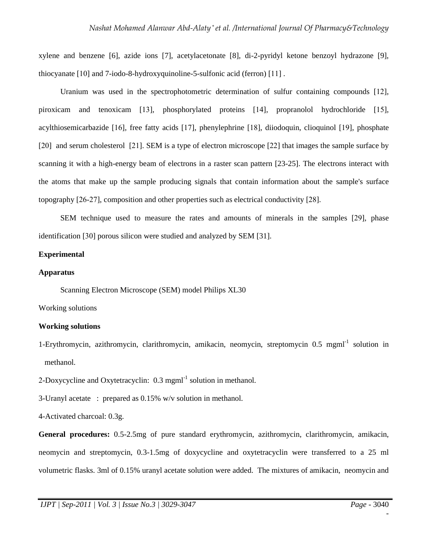xylene and benzene [6], azide ions [7], acetylacetonate [8], di-2-pyridyl ketone benzoyl hydrazone [9], thiocyanate [10] and 7-iodo-8-hydroxyquinoline-5-sulfonic acid (ferron) [11] .

 Uranium was used in the spectrophotometric determination of sulfur containing compounds [12], piroxicam and tenoxicam [13], phosphorylated proteins [14], propranolol hydrochloride [15], acylthiosemicarbazide [16], free fatty acids [17], phenylephrine [18], diiodoquin, clioquinol [19], phosphate [20] and serum cholesterol [21]. SEM is a type of electron microscope [22] that images the sample surface by scanning it with a high-energy beam of electrons in a raster scan pattern [23-25]. The electrons interact with the atoms that make up the sample producing signals that contain information about the sample's surface topography [26-27], composition and other properties such as electrical conductivity [28].

 SEM technique used to measure the rates and amounts of minerals in the samples [29], phase identification [30] porous silicon were studied and analyzed by SEM [31].

# **Experimental**

## **Apparatus**

Scanning Electron Microscope (SEM) model Philips XL30

Working solutions

# **Working solutions**

1-Erythromycin, azithromycin, clarithromycin, amikacin, neomycin, streptomycin 0.5 mgml-1 solution in methanol.

2-Doxycycline and Oxytetracyclin:  $0.3 \text{ mm}^{-1}$  solution in methanol.

3-Uranyl acetate : prepared as 0.15% w/v solution in methanol.

4-Activated charcoal: 0.3g.

**General procedures:** 0.5-2.5mg of pure standard erythromycin, azithromycin, clarithromycin, amikacin, neomycin and streptomycin, 0.3-1.5mg of doxycycline and oxytetracyclin were transferred to a 25 ml volumetric flasks. 3ml of 0.15% uranyl acetate solution were added. The mixtures of amikacin, neomycin and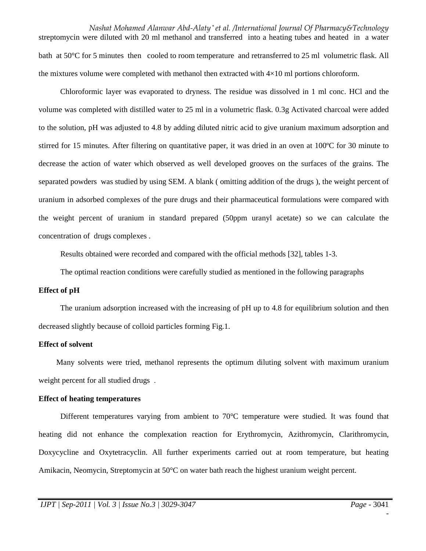*Nashat Mohamed Alanwar Abd-Alaty \* et al. /International Journal Of Pharmacy&Technology* streptomycin were diluted with 20 ml methanol and transferred into a heating tubes and heated in a water bath at 50°C for 5 minutes then cooled to room temperature and retransferred to 25 ml volumetric flask. All the mixtures volume were completed with methanol then extracted with  $4\times10$  ml portions chloroform.

 Chloroformic layer was evaporated to dryness. The residue was dissolved in 1 ml conc. HCl and the volume was completed with distilled water to 25 ml in a volumetric flask. 0.3g Activated charcoal were added to the solution, pH was adjusted to 4.8 by adding diluted nitric acid to give uranium maximum adsorption and stirred for 15 minutes. After filtering on quantitative paper, it was dried in an oven at 100ºC for 30 minute to decrease the action of water which observed as well developed grooves on the surfaces of the grains. The separated powders was studied by using SEM. A blank ( omitting addition of the drugs ), the weight percent of uranium in adsorbed complexes of the pure drugs and their pharmaceutical formulations were compared with the weight percent of uranium in standard prepared (50ppm uranyl acetate) so we can calculate the concentration of drugs complexes .

Results obtained were recorded and compared with the official methods [32], tables 1-3.

The optimal reaction conditions were carefully studied as mentioned in the following paragraphs

### **Effect of pH**

 The uranium adsorption increased with the increasing of pH up to 4.8 for equilibrium solution and then decreased slightly because of colloid particles forming Fig.1.

## **Effect of solvent**

 Many solvents were tried, methanol represents the optimum diluting solvent with maximum uranium weight percent for all studied drugs .

### **Effect of heating temperatures**

 Different temperatures varying from ambient to 70°C temperature were studied. It was found that heating did not enhance the complexation reaction for Erythromycin, Azithromycin, Clarithromycin, Doxycycline and Oxytetracyclin. All further experiments carried out at room temperature, but heating Amikacin, Neomycin, Streptomycin at 50°C on water bath reach the highest uranium weight percent.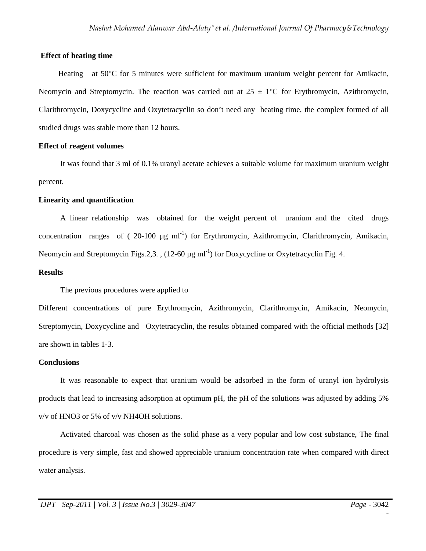## **Effect of heating time**

Heating at 50<sup>o</sup>C for 5 minutes were sufficient for maximum uranium weight percent for Amikacin, Neomycin and Streptomycin. The reaction was carried out at  $25 \pm 1$ °C for Erythromycin, Azithromycin, Clarithromycin, Doxycycline and Oxytetracyclin so don't need any heating time, the complex formed of all studied drugs was stable more than 12 hours.

### **Effect of reagent volumes**

 It was found that 3 ml of 0.1% uranyl acetate achieves a suitable volume for maximum uranium weight percent.

## **Linearity and quantification**

 A linear relationship was obtained for the weight percent of uranium and the cited drugs concentration ranges of  $(20-100 \mu g m l^{-1})$  for Erythromycin, Azithromycin, Clarithromycin, Amikacin, Neomycin and Streptomycin Figs.2,3.,  $(12-60 \mu g \text{ ml}^{-1})$  for Doxycycline or Oxytetracyclin Fig. 4.

# **Results**

The previous procedures were applied to

Different concentrations of pure Erythromycin, Azithromycin, Clarithromycin, Amikacin, Neomycin, Streptomycin, Doxycycline and Oxytetracyclin, the results obtained compared with the official methods [32] are shown in tables 1-3.

### **Conclusions**

 It was reasonable to expect that uranium would be adsorbed in the form of uranyl ion hydrolysis products that lead to increasing adsorption at optimum pH, the pH of the solutions was adjusted by adding 5% v/v of HNO3 or 5% of v/v NH4OH solutions.

 Activated charcoal was chosen as the solid phase as a very popular and low cost substance, The final procedure is very simple, fast and showed appreciable uranium concentration rate when compared with direct water analysis.

-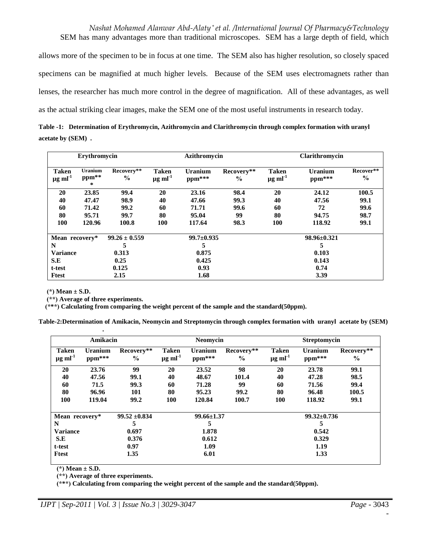*Nashat Mohamed Alanwar Abd-Alaty \* et al. /International Journal Of Pharmacy&Technology* SEM has many advantages more than traditional microscopes. SEM has a large depth of field, which allows more of the specimen to be in focus at one time. The SEM also has higher resolution, so closely spaced specimens can be magnified at much higher levels. Because of the SEM uses electromagnets rather than lenses, the researcher has much more control in the degree of magnification. All of these advantages, as well as the actual striking clear images, make the SEM one of the most useful instruments in research today.

**Table -1: Determination of Erythromycin, Azithromycin and Clarithromycin through complex formation with uranyl acetate by (SEM) .** 

| Erythromycin                             |                         |                             | Azithromycin                      |                          |                             | Clarithromycin                           |                          |                            |
|------------------------------------------|-------------------------|-----------------------------|-----------------------------------|--------------------------|-----------------------------|------------------------------------------|--------------------------|----------------------------|
| <b>Taken</b><br>$\mu$ g ml <sup>-1</sup> | Uranium<br>ppm**<br>$*$ | Recovery**<br>$\frac{0}{0}$ | Taken<br>$\mu$ g ml <sup>-1</sup> | <b>Uranium</b><br>ppm*** | Recovery**<br>$\frac{0}{0}$ | <b>Taken</b><br>$\mu$ g ml <sup>-1</sup> | <b>Uranium</b><br>ppm*** | Recover**<br>$\frac{6}{9}$ |
| 20                                       | 23.85                   | 99.4                        | 20                                | 23.16                    | 98.4                        | 20                                       | 24.12                    | 100.5                      |
| 40                                       | 47.47                   | 98.9                        | 40                                | 47.66                    | 99.3                        | 40                                       | 47.56                    | 99.1                       |
| 60                                       | 71.42                   | 99.2                        | 60                                | 71.71                    | 99.6                        | 60                                       | 72                       | 99.6                       |
| 80                                       | 95.71                   | 99.7                        | 80                                | 95.04                    | 99                          | 80                                       | 94.75                    | 98.7                       |
| 100                                      | 120.96                  | 100.8                       | 100                               | 117.64                   | 98.3                        | 100                                      | 118.92                   | 99.1                       |
| Mean recovery*                           |                         | $99.26 \pm 0.559$           |                                   | $99.7 \pm 0.935$         |                             |                                          | $98.96 \pm 0.321$        |                            |
| N                                        |                         | 5                           |                                   | 5                        |                             |                                          | э                        |                            |
| <b>Variance</b>                          |                         | 0.313                       |                                   | 0.875                    |                             |                                          | 0.103                    |                            |
| S.E                                      |                         | 0.25                        |                                   | 0.425                    |                             |                                          | 0.143                    |                            |
| t-test                                   |                         | 0.125                       |                                   | 0.93                     |                             |                                          | 0.74                     |                            |
| <b>Ftest</b>                             |                         | 2.15                        |                                   | 1.68                     |                             |                                          | 3.39                     |                            |

 **(\*) Mean ± S.D.** 

*<b>. . . . . . . . . . . . .* 

 **(\*\*) Average of three experiments.** 

 **(\*\*\*) Calculating from comparing the weight percent of the sample and the standard(50ppm).**

**Table-2:Determination of Amikacin, Neomycin and Streptomycin through complex formation with uranyl acetate by (SEM)** 

|                                          | Amikacin                 |                             |                                          | <b>Neomycin</b>          |                             |                                          | <b>Streptomycin</b> |                             |
|------------------------------------------|--------------------------|-----------------------------|------------------------------------------|--------------------------|-----------------------------|------------------------------------------|---------------------|-----------------------------|
| <b>Taken</b><br>$\mu$ g ml <sup>-1</sup> | <b>Uranium</b><br>ppm*** | Recovery**<br>$\frac{0}{0}$ | <b>Taken</b><br>$\mu$ g ml <sup>-1</sup> | <b>Uranium</b><br>ppm*** | Recovery**<br>$\frac{6}{6}$ | <b>Taken</b><br>$\mu$ g ml <sup>-1</sup> | Uranium<br>ppm***   | Recovery**<br>$\frac{0}{0}$ |
| 20                                       | 23.76                    | 99                          | 20                                       | 23.52                    | 98                          | 20                                       | 23.78               | 99.1                        |
| 40                                       | 47.56                    | 99.1                        | 40                                       | 48.67                    | 101.4                       | 40                                       | 47.28               | 98.5                        |
| 60                                       | 71.5                     | 99.3                        | 60                                       | 71.28                    | 99                          | 60                                       | 71.56               | 99.4                        |
| 80                                       | 96.96                    | 101                         | 80                                       | 95.23                    | 99.2                        | 80                                       | 96.48               | 100.5                       |
| 100                                      | 119.04                   | 99.2                        | 100                                      | 120.84                   | 100.7                       | 100                                      | 118.92              | 99.1                        |
| Mean recovery*                           |                          | $99.52 \pm 0.834$           |                                          | $99.66 \pm 1.37$         |                             |                                          | $99.32 \pm 0.736$   |                             |
| N                                        |                          | 5                           |                                          | 5                        |                             |                                          | 5                   |                             |
| <b>Variance</b>                          |                          | 0.697                       |                                          | 1.878                    |                             |                                          | 0.542               |                             |
| S.E                                      |                          | 0.376                       |                                          | 0.612                    |                             |                                          | 0.329               |                             |
| t-test                                   |                          | 0.97                        |                                          | 1.09                     |                             |                                          | 1.19                |                             |
| Ftest                                    |                          | 1.35                        |                                          | 6.01                     |                             |                                          | 1.33                |                             |

 **(\*) Mean ± S.D.** 

 **(\*\*) Average of three experiments.** 

 **(\*\*\*) Calculating from comparing the weight percent of the sample and the standard(50ppm).**

-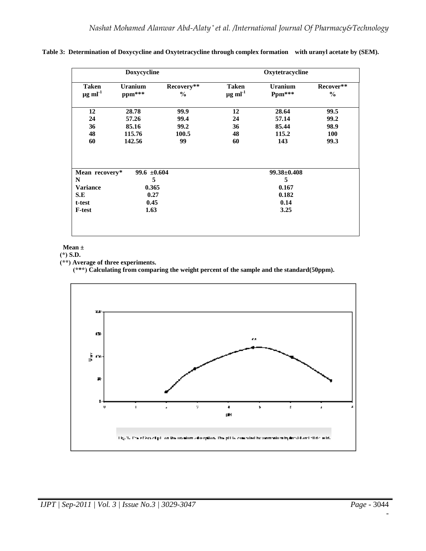|                                          | Doxycycline           |                    | Oxytetracycline                          |                        |                            |  |  |
|------------------------------------------|-----------------------|--------------------|------------------------------------------|------------------------|----------------------------|--|--|
| <b>Taken</b><br>$\mu$ g ml <sup>-1</sup> | Uranium<br>ppm***     | Recovery**<br>$\%$ | <b>Taken</b><br>$\mu$ g ml <sup>-1</sup> | Uranium<br>$Ppm***$    | Recover**<br>$\frac{0}{0}$ |  |  |
| 12                                       | 28.78                 | 99.9               | 12                                       | 28.64                  | 99.5                       |  |  |
| 24                                       | 57.26                 | 99.4               | 24                                       | 57.14                  | 99.2                       |  |  |
| 36                                       | 85.16                 | 99.2               | 36                                       | 85.44                  | 98.9                       |  |  |
|                                          | 115.76                | 100.5              | 48                                       | 115.2                  | <b>100</b>                 |  |  |
| 48                                       |                       |                    |                                          |                        |                            |  |  |
| 60                                       | 142.56                | 99                 | 60                                       | 143                    | 99.3                       |  |  |
|                                          | 99.6 $\pm 0.604$<br>5 |                    |                                          | $99.38 \pm 0.408$<br>5 |                            |  |  |
| Mean recovery*<br>N<br><b>Variance</b>   | 0.365                 |                    |                                          | 0.167                  |                            |  |  |
| S.E<br>t-test                            | 0.27<br>0.45          |                    |                                          | 0.182<br>0.14          |                            |  |  |

**Table 3: Determination of Doxycycline and Oxytetracycline through complex formation with uranyl acetate by (SEM).** 

#### **Mean ±**

 **(\*) S.D.** 

 **(\*\*) Average of three experiments.** 

 **(\*\*\*) Calculating from comparing the weight percent of the sample and the standard(50ppm).**



-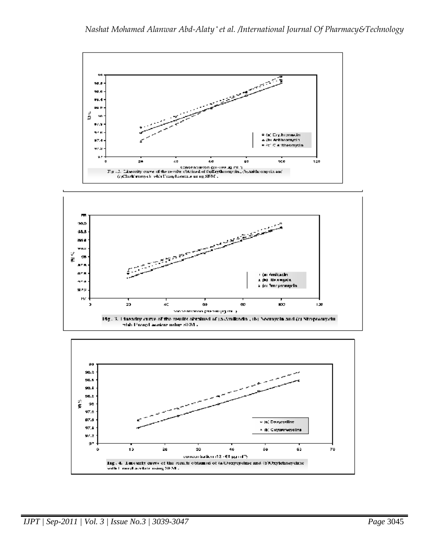

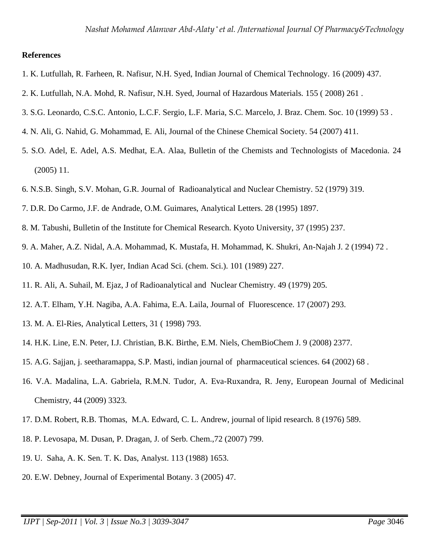# **References**

- 1. K. Lutfullah, R. Farheen, R. Nafisur, N.H. Syed, Indian Journal of Chemical Technology. 16 (2009) 437.
- 2. K. Lutfullah, N.A. Mohd, R. Nafisur, N.H. Syed, Journal of Hazardous Materials. 155 ( 2008) 261 .
- 3. S.G. Leonardo, C.S.C. Antonio, L.C.F. Sergio, L.F. Maria, S.C. Marcelo, J. Braz. Chem. Soc. 10 (1999) 53 .
- 4. N. Ali, G. Nahid, G. Mohammad, E. Ali, Journal of the Chinese Chemical Society. 54 (2007) 411.
- 5. S.O. Adel, E. Adel, A.S. Medhat, E.A. Alaa, Bulletin of the Chemists and Technologists of Macedonia. 24 (2005) 11.
- 6. N.S.B. Singh, S.V. Mohan, G.R. Journal of Radioanalytical and Nuclear Chemistry. 52 (1979) 319.
- 7. D.R. Do Carmo, J.F. de Andrade, O.M. Guimares, Analytical Letters. 28 (1995) 1897.
- 8. M. Tabushi, Bulletin of the Institute for Chemical Research. Kyoto University, 37 (1995) 237.
- 9. A. Maher, A.Z. Nidal, A.A. Mohammad, K. Mustafa, H. Mohammad, K. Shukri, An-Najah J. 2 (1994) 72 .
- 10. A. Madhusudan, R.K. Iyer, Indian Acad Sci. (chem. Sci.). 101 (1989) 227.
- 11. R. Ali, A. Suhail, M. Ejaz, J of Radioanalytical and Nuclear Chemistry. 49 (1979) 205.
- 12. A.T. Elham, Y.H. Nagiba, A.A. Fahima, E.A. Laila, Journal of Fluorescence. 17 (2007) 293.
- 13. M. A. El-Ries, Analytical Letters, 31 ( 1998) 793.
- 14. H.K. Line, E.N. Peter, I.J. Christian, B.K. Birthe, E.M. Niels, ChemBioChem J. 9 (2008) 2377.
- 15. A.G. Sajjan, j. seetharamappa, S.P. Masti, indian journal of pharmaceutical sciences. 64 (2002) 68 .
- 16. V.A. Madalina, L.A. Gabriela, R.M.N. Tudor, A. Eva-Ruxandra, R. Jeny, European Journal of Medicinal Chemistry, 44 (2009) 3323.
- 17. D.M. Robert, R.B. Thomas, M.A. Edward, C. L. Andrew, journal of lipid research. 8 (1976) 589.
- 18. P. Levosapa, M. Dusan, P. Dragan, J. of Serb. Chem.,72 (2007) 799.
- 19. U. Saha, A. K. Sen. T. K. Das, Analyst. 113 (1988) 1653.
- 20. E.W. Debney, Journal of Experimental Botany. 3 (2005) 47.